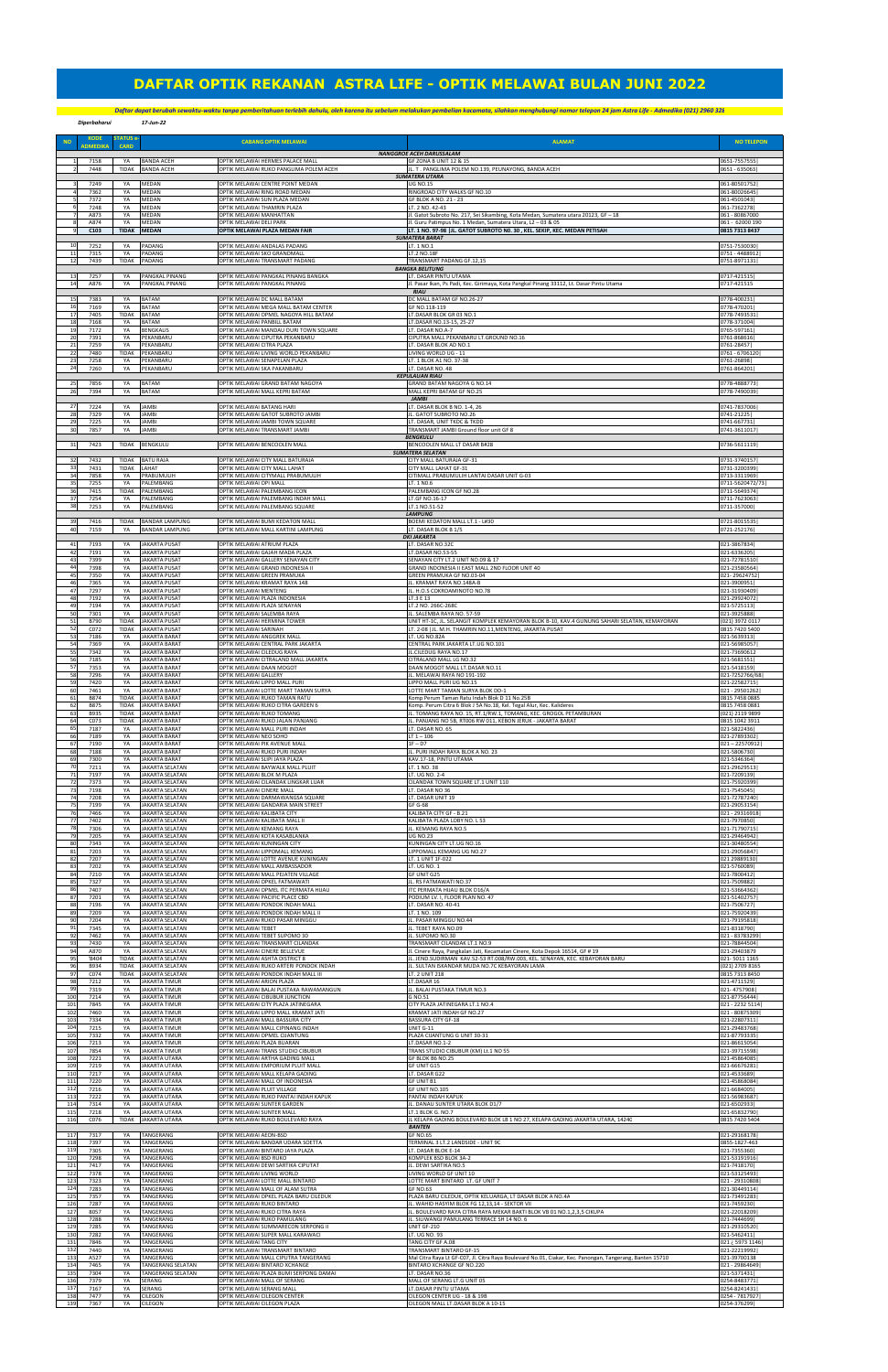*Diperbaharui 17-Jun-22Daftar dapat berubah sewaktu-waktu tanpa pemberitahuan terlebih dahulu, oleh karena itu sebelum melakukan pembelian kacamata, silahkan menghubungi nomor telepon 24 jam Astra Life - Admedika (021) 2960 3282*

| <b>NO</b>         | <b>KODE</b><br><b>ADMEDIKA</b> | <b>STATUS e</b><br>CARD            |                                                               | <b>CABANG OPTIK MELAWAI</b>                                                                             | <b>ALAMAT</b>                                                                                                                                                                                                 | <b>NO TELEPON</b>                              |
|-------------------|--------------------------------|------------------------------------|---------------------------------------------------------------|---------------------------------------------------------------------------------------------------------|---------------------------------------------------------------------------------------------------------------------------------------------------------------------------------------------------------------|------------------------------------------------|
|                   | 7158                           | YA                                 | <b>BANDA ACEH</b>                                             | OPTIK MELAWAI HERMES PALACE MALL                                                                        | NANGGROE ACEH DARUSSALAM<br>GF ZONA B UNIT 12 & 15                                                                                                                                                            | 0651-7557555                                   |
|                   | 7448                           | <b>TIDAK</b>                       | <b>BANDA ACEH</b>                                             | OPTIK MELAWAI RUKO PANGLIMA POLEM ACEH                                                                  | JL. T. PANGLIMA POLEM NO.139, PEUNAYONG, BANDA ACEH<br><b>SUMATERA UTARA</b>                                                                                                                                  | 0651 - 635063                                  |
|                   | 7249                           | YA                                 | MEDAN                                                         | OPTIK MELAWAI CENTRE POINT MEDAN                                                                        | <b>UG NO.15</b>                                                                                                                                                                                               | 061-80501752                                   |
|                   | 7362                           | YA                                 | MEDAN                                                         | OPTIK MELAWAI RING ROAD MEDAN                                                                           | RINGROAD CITY WALKS GF NO.10                                                                                                                                                                                  | 061-80026645                                   |
|                   | 7372                           | YA                                 | MEDAN                                                         | OPTIK MELAWAI SUN PLAZA MEDAN                                                                           | GF BLOK A NO. 21 - 23                                                                                                                                                                                         | 061-4501043                                    |
|                   | 7248                           | YA                                 | MEDAN                                                         | OPTIK MELAWAI THAMRIN PLAZA                                                                             | LT. 2 NO. 42-43                                                                                                                                                                                               | 061-7362278                                    |
|                   | A873                           | YA                                 | MEDAN                                                         | OPTIK MELAWAI MANHATTAN                                                                                 | Jl. Gatot Subroto No. 217, Sei Sikambing, Kota Medan, Sumatera utara 20123, GF - 18                                                                                                                           | 061 - 80867000                                 |
|                   | A874                           | YA                                 | <b>MEDAN</b>                                                  | OPTIK MELAWAI DELI PARK                                                                                 | Jl. Guru Patimpus No. 1 Medan, Sumatera Utara, L2 - 03 & 05                                                                                                                                                   | 061 - 62000 190                                |
|                   | C103                           | <b>TIDAK</b>                       | <b>MEDAN</b>                                                  | OPTIK MELAWAI PLAZA MEDAN FAIR                                                                          | LT. 1 NO. 97-98   JL. GATOT SUBROTO NO. 30, KEL. SEKIP, KEC. MEDAN PETISAH<br><b>SUMATERA BARAT</b>                                                                                                           | 0815 7313 8437                                 |
| 10                | 7252                           | YA                                 | PADANG                                                        | OPTIK MELAWAI ANDALAS PADANG                                                                            | LT. 1 NO.1                                                                                                                                                                                                    | 0751-7530030                                   |
| 11                | 7315                           | YA                                 | PADANG                                                        | OPTIK MELAWAI SKO GRANDMALL                                                                             | LT.2 NO.18F                                                                                                                                                                                                   | 0751 - 4488912                                 |
| 12<br>13          | 7439                           | <b>TIDAK</b>                       | PADANG                                                        | OPTIK MELAWAI TRANSMART PADANG<br>OPTIK MELAWAI PANGKAL PINANG BANGKA                                   | TRANSMART PADANG GF.12,15<br><b>BANGKA BELITUNG</b><br>LT. DASAR PINTU UTAMA                                                                                                                                  | 0751-8971131                                   |
| 14                | 7257<br>A876                   | YA<br>YA                           | PANGKAL PINANG<br>PANGKAL PINANG                              | OPTIK MELAWAI PANGKAL PINANG                                                                            | Jl. Pasar Ikan, Ps Padi, Kec. Girimaya, Kota Pangkal Pinang 33112, Lt. Dasar Pintu Utama<br><b>RIAU</b>                                                                                                       | 0717-421515<br>0717-421515                     |
| 15                | 7383                           | YA                                 | <b>BATAM</b>                                                  | OPTIK MELAWAI DC MALL BATAM                                                                             | DC MALL BATAM GF NO.26-27                                                                                                                                                                                     | 0778-400231                                    |
| 16                | 7169                           | YA                                 | <b>BATAM</b>                                                  | OPTIK MELAWAI MEGA MALL BATAM CENTER                                                                    | GF NO.118-119                                                                                                                                                                                                 | 0778-470201                                    |
| 17                | 7405                           | TIDAK                              | <b>BATAM</b>                                                  | OPTIK MELAWAI OPMEL NAGOYA HILL BATAM                                                                   | LT.DASAR BLOK GR 03 NO.1                                                                                                                                                                                      | 0778-7493531                                   |
| 18                | 7168                           | YA                                 | BATAM                                                         | OPTIK MELAWAI PANBILL BATAM                                                                             | LT.DASAR NO.13-15, 25-27                                                                                                                                                                                      | 0778-371004                                    |
| 19                | 7172                           | YA                                 | <b>BENGKALIS</b>                                              | OPTIK MELAWAI MANDAU DURI TOWN SQUARE                                                                   | LT. DASAR NO.A-7                                                                                                                                                                                              | 0765-597161                                    |
| 20                | 7391                           | YA                                 | PEKANBARU                                                     | OPTIK MELAWAI CIPUTRA PEKANBARU                                                                         | CIPUTRA MALL PEKANBARU LT.GROUND NO.16                                                                                                                                                                        | 0761-868616                                    |
| 21                | 7259                           | YA                                 | PEKANBARU                                                     | OPTIK MELAWAI CITRA PLAZA                                                                               | LT. DASAR BLOK AD NO.1                                                                                                                                                                                        | 0761-28457                                     |
| 22                | 7480                           | <b>TIDAK</b>                       | PEKANBARU                                                     | OPTIK MELAWAI LIVING WORLD PEKANBARU                                                                    | LIVING WORLD UG - 11                                                                                                                                                                                          | 0761 - 6706120                                 |
| 23                | 7258                           | YA                                 | PEKANBARU                                                     | OPTIK MELAWAI SENAPELAN PLAZA                                                                           | LT. 1 BLOK A1 NO. 37-38                                                                                                                                                                                       | 0761-26898                                     |
| 24                | 7260                           | YA                                 | PEKANBARU                                                     | OPTIK MELAWAI SKA PAKANBARU                                                                             | LT. DASAR NO. 48                                                                                                                                                                                              | 0761-864201                                    |
| 25                | 7856                           | YA                                 | <b>BATAM</b>                                                  | OPTIK MELAWAI GRAND BATAM NAGOYA                                                                        | <b>KEPULAUAN RIAU</b><br>GRAND BATAM NAGOYA G NO.14                                                                                                                                                           | 0778-4888773                                   |
| 26                | 7394                           | YA                                 | <b>BATAM</b>                                                  | OPTIK MELAWAI MALL KEPRI BATAM                                                                          | MALL KEPRI BATAM GF NO.25<br><b>JAMBI</b>                                                                                                                                                                     | 0778-7490039                                   |
| 27<br>28          | 7224<br>7329                   | YA<br>YA                           | <b>JAMBI</b><br>JAMBI                                         | OPTIK MELAWAI BATANG HARI<br>OPTIK MELAWAI GATOT SUBROTO JAMBI                                          | LT. DASAR BLOK B NO. 1-4, 26<br>JL. GATOT SUBROTO NO.26<br>LT. DASAR, UNIT TKDC & TKDD                                                                                                                        | 0741-7837006<br>0741-21225                     |
| 29                | 7225                           | YA                                 | <b>JAMBI</b>                                                  | OPTIK MELAWAI JAMBI TOWN SQUARE                                                                         | TRANSMART JAMBI Ground floor unit GF 8                                                                                                                                                                        | 0741-667731                                    |
| 30                | 7857                           | YA                                 | <b>JAMBI</b>                                                  | OPTIK MELAWAI TRANSMART JAMBI                                                                           | <b>BENGKULU</b>                                                                                                                                                                                               | 0741-3611017                                   |
| 31                | 7423                           | TIDAK                              | <b>BENGKULU</b>                                               | OPTIK MELAWAI BENCOOLEN MALL                                                                            | BENCOOLEN MALL LT DASAR B#28<br><b>SUMATERA SELATAN</b>                                                                                                                                                       | 0736-5611119                                   |
| 32                | 7432                           | <b>TIDAK</b>                       | <b>BATU RAJA</b>                                              | OPTIK MELAWAI CITY MALL BATURAJA                                                                        | CITY MALL BATURAJA GF-31                                                                                                                                                                                      | 0731-3740157                                   |
| 33                | 7431                           | <b>TIDAK</b>                       | LAHAT                                                         | OPTIK MELAWAI CITY MALL LAHAT                                                                           | CITY MALL LAHAT GF-31                                                                                                                                                                                         | 0731-3200399                                   |
| 34                | 7858                           | YA                                 | PRABUMULIH                                                    | OPTIK MELAWAI CITYMALL PRABUMULIH                                                                       | CITIMALL PRABUMULIH LANTAI DASAR UNIT G-03                                                                                                                                                                    | 0713-3311969                                   |
| 35                | 7255                           | YA                                 | PALEMBANG                                                     | OPTIK MELAWAI OPI MALL                                                                                  | LT. 1 NO.6                                                                                                                                                                                                    | 0711-5620472/73                                |
| 36                | 7415                           | <b>TIDAK</b>                       | PALEMBANG                                                     | OPTIK MELAWAI PALEMBANG ICON                                                                            | PALEMBANG ICON GF NO.28                                                                                                                                                                                       | 0711-5649374                                   |
| 37                | 7254                           | YA                                 | PALEMBANG                                                     | OPTIK MELAWAI PALEMBANG INDAH MALL                                                                      | LT.GF NO.16-17                                                                                                                                                                                                | 0711-7623063                                   |
| 38                | 7253                           | YA                                 | PALEMBANG                                                     | OPTIK MELAWAI PALEMBANG SQUARE                                                                          | LT.1 NO.51-52<br><b>LAMPUNG</b>                                                                                                                                                                               | 0711-357000                                    |
| 39                | 7416                           | <b>TIDAK</b>                       | <b>BANDAR LAMPUNG</b>                                         | OPTIK MELAWAI BUMI KEDATON MALL                                                                         | BOEMI KEDATON MALL LT.1 - L#30                                                                                                                                                                                | 0721-8015535                                   |
| 40                | 7159                           | YA                                 | <b>BANDAR LAMPUNG</b>                                         | OPTIK MELAWAI MALL KARTINI LAMPUNG                                                                      | LT. DASAR BLOK B 1/5                                                                                                                                                                                          | 0721-252176                                    |
| 41                | 7193                           | YA                                 | <b>JAKARTA PUSAT</b>                                          | OPTIK MELAWAI ATRIUM PLAZA                                                                              | <b>DKI JAKARTA</b><br>LT. DASAR NO.32C                                                                                                                                                                        | 021-3867834                                    |
| 42<br>43<br>44    | 7191<br>7399<br>7398           | YA<br>YA                           | <b>JAKARTA PUSAT</b><br><b>JAKARTA PUSAT</b>                  | OPTIK MELAWAI GAJAH MADA PLAZA<br>OPTIK MELAWAI GALLERY SENAYAN CITY                                    | LT.DASAR NO.53-55<br>SENAYAN CITY LT.2 UNIT NO.09 & 17<br>GRAND INDONESIA II EAST MALL 2ND FLOOR UNIT 40                                                                                                      | 021-6336205<br>021-72781510<br>021-23580564    |
| 45<br>46          | 7350<br>7365                   | YA<br>YA<br>YA                     | <b>JAKARTA PUSAT</b><br><b>JAKARTA PUSAT</b><br>JAKARTA PUSAT | OPTIK MELAWAI GRAND INDONESIA II<br>OPTIK MELAWAI GREEN PRAMUKA<br>OPTIK MELAWAI KRAMAT RAYA 148        | GREEN PRAMUKA GF NO.03-04<br>IL. KRAMAT RAYA NO.148A-B                                                                                                                                                        | 021-29624752<br>021-3900951                    |
| 47                | 7297                           | YA                                 | JAKARTA PUSAT                                                 | OPTIK MELAWAI MENTENG                                                                                   | JL. H.O.S COKROAMINOTO NO.78                                                                                                                                                                                  | 021-31930409                                   |
| 48                | 7192                           | YA                                 | <b>JAKARTA PUSAT</b>                                          | OPTIK MELAWAI PLAZA INDONESIA                                                                           | LT.3 E 13                                                                                                                                                                                                     | 021-29924072                                   |
| 49                | 7194                           | YA                                 | JAKARTA PUSAT                                                 | OPTIK MELAWAI PLAZA SENAYAN                                                                             | LT.2 NO. 266C-268C                                                                                                                                                                                            | 021-5725113                                    |
| 50                | 7301                           | YA                                 | <b>JAKARTA PUSAT</b>                                          | OPTIK MELAWAI SALEMBA RAYA                                                                              | IL. SALEMBA RAYA NO. 57-59                                                                                                                                                                                    | 021-3925888                                    |
| 51                | B790                           | <b>TIDAK</b>                       | <b>JAKARTA PUSAT</b>                                          | OPTIK MELAWAI HERMINA TOWER                                                                             | UNIT HT-1C, JL. SELANGIT KOMPLEK KEMAYORAN BLOK B-10, KAV.4 GUNUNG SAHARI SELATAN, KEMAYORAN                                                                                                                  | 021) 3972 0117                                 |
| 52                | C072                           | TIDAK                              | <b>JAKARTA PUSAT</b>                                          | OPTIK MELAWAI SARINAH                                                                                   | LT. 2-08 IJL, M.H. THAMRIN NO.11.MENTENG, JAKARTA PUSAT                                                                                                                                                       | 0815 7420 5400                                 |
| 53                | 7186                           | YA                                 | <b>JAKARTA BARAT</b>                                          | OPTIK MELAWAI ANGGREK MALL                                                                              | LT. UG NO.82A                                                                                                                                                                                                 | 021-5639313                                    |
| 54                | 7369                           | YA                                 | <b>JAKARTA BARAT</b>                                          | OPTIK MELAWAI CENTRAL PARK JAKARTA                                                                      | CENTRAL PARK JAKARTA LT.UG NO.101                                                                                                                                                                             | 021-56985057                                   |
| 55                | 7342                           | YA                                 | <b>JAKARTA BARAT</b>                                          | OPTIK MELAWAI CILEDUG RAYA                                                                              | JL.CILEDUG RAYA NO.17                                                                                                                                                                                         | 021-73690612                                   |
| 56                | 7185                           | YA                                 | <b>JAKARTA BARAT</b>                                          | OPTIK MELAWAI CITRALAND MALL JAKARTA                                                                    | CITRALAND MALL LG NO.32                                                                                                                                                                                       | 021-5681551                                    |
| 57                | 7353                           | YA                                 | <b>JAKARTA BARAT</b>                                          | OPTIK MELAWAI DAAN MOGOT                                                                                | DAAN MOGOT MALL LT.DASAR NO.11                                                                                                                                                                                | 021-5418159                                    |
| 58                | 7296                           | YA                                 | <b>JAKARTA BARAT</b>                                          | OPTIK MELAWAI GALLERY                                                                                   | JL. MELAWAI RAYA NO 191-192                                                                                                                                                                                   | 021-7252766/68                                 |
| 59                | 7420                           | YA                                 | <b>JAKARTA BARAT</b>                                          | OPTIK MELAWAI LIPPO MALL PURI                                                                           | LIPPO MALL PURI UG NO.15                                                                                                                                                                                      | 021-22582715                                   |
| 60                | 7461                           | YA                                 | <b>JAKARTA BARAT</b>                                          | OPTIK MELAWAI LOTTE MART TAMAN SURYA                                                                    | LOTTE MART TAMAN SURYA BLOK DD-1                                                                                                                                                                              | 021 - 29501262                                 |
| 61                | <b>B874</b>                    | <b>TIDAK</b>                       | <b>JAKARTA BARAT</b>                                          | OPTIK MELAWAI RUKO TAMAN RATU                                                                           | Komp Perum Taman Ratu Indah Blok D 11 No.25B                                                                                                                                                                  | 0815 7458 0885                                 |
| 62                | <b>B875</b>                    | <b>TIDAK</b>                       | <b>JAKARTA BARAT</b>                                          | OPTIK MELAWAI RUKO CITRA GARDEN 6                                                                       | Komp. Perum Citra 6 Blok J 5A No.18, Kel. Tegal Alur, Kec. Kalideres                                                                                                                                          | 0815 7458 0881                                 |
| 63                | B935                           | <b>TIDAK</b>                       | <b>JAKARTA BARAT</b>                                          | OPTIK MELAWAI RUKO TOMANG                                                                               | JL. TOMANG RAYA NO. 15, RT.1/RW.1, TOMANG, KEC. GROGOL PETAMBURAN                                                                                                                                             | (021) 2119 9899                                |
| 64                | C073                           | <b>TIDAK</b>                       | <b>JAKARTA BARAT</b>                                          | OPTIK MELAWAI RUKO JALAN PANJANG                                                                        | IL. PANJANG NO 5B, RT006 RW 011, KEBON JERUK - JAKARTA BARAT                                                                                                                                                  | 0815 1042 3911                                 |
| 65                | 7187                           | YA                                 | JAKARTA BARAT                                                 | OPTIK MELAWAI MALL PURI INDAH                                                                           | LT. DASAR NO. 65                                                                                                                                                                                              | 021-5822436                                    |
| 66                | 7189                           | YA                                 | <b>JAKARTA BARAT</b>                                          | OPTIK MELAWAI NEO SOHO                                                                                  | LT 1 – 106                                                                                                                                                                                                    | 021-27893302                                   |
| 67                | 7190                           | YA                                 | <b>JAKARTA BARAT</b>                                          | OPTIK MELAWAI PIK AVENUE MALL                                                                           | $1F - D7$                                                                                                                                                                                                     | 021-22570912                                   |
| 68                | 7188                           | YA                                 | <b>JAKARTA BARAT</b>                                          | OPTIK MELAWAI RUKO PURI INDAH                                                                           | JL. PURI INDAH RAYA BLOK A NO. 23                                                                                                                                                                             | 021-5806730                                    |
| 69                | 7300                           | YA                                 | <b>JAKARTA BARAT</b>                                          | OPTIK MELAWAI SLIPI JAYA PLAZA                                                                          | KAV.17-18, PINTU UTAMA                                                                                                                                                                                        | 021-5346364                                    |
| 70                | 7211                           | YA                                 | JAKARTA SELATAN                                               | OPTIK MELAWAI BAYWALK MALL PLUIT                                                                        | LT. 1 NO. 38                                                                                                                                                                                                  | 021-29629513                                   |
| 71                | 7197                           | YA                                 | <b>JAKARTA SELATAN</b>                                        | OPTIK MELAWAI BLOK M PLAZA                                                                              | LT. UG NO. 2-4                                                                                                                                                                                                | 021-7209139                                    |
| 72                | 7373                           | YA                                 | JAKARTA SELATAN                                               | OPTIK MELAWAI CILANDAK LINGKAR LUAR                                                                     | CILANDAK TOWN SQUARE LT.1 UNIT 110                                                                                                                                                                            | 021-75920399                                   |
| 73                | 7198                           | YA                                 | JAKARTA SELATAN                                               | OPTIK MELAWAI CINERE MALL                                                                               | LT. DASAR NO 36                                                                                                                                                                                               | 021-7545045                                    |
| 74                | 7208                           | YA                                 | JAKARTA SELATAN                                               | OPTIK MELAWAI DARMAWANGSA SQUARE                                                                        | LT. DASAR UNIT 19                                                                                                                                                                                             | 021-72787240                                   |
| 75                | 7199                           | YA                                 | JAKARTA SELATAN                                               | OPTIK MELAWAI GANDARIA MAIN STREET                                                                      | GF G-68                                                                                                                                                                                                       | 021-29053154                                   |
| 76                | 7466                           | YA                                 | JAKARTA SELATAN                                               | OPTIK MELAWAI KALIBATA CITY                                                                             | KALIBATA CITY GF - B.21                                                                                                                                                                                       | 021 - 29316918                                 |
| 77                | 7402                           | YA                                 | JAKARTA SELATAN                                               | OPTIK MELAWAI KALIBATA MALL I                                                                           | KALIBATA PLAZA LOBY NO. L 53                                                                                                                                                                                  | 021-7970850                                    |
| 78                | 7306                           | YA                                 | <b>JAKARTA SELATAN</b>                                        | OPTIK MELAWAI KEMANG RAYA                                                                               | JL. KEMANG RAYA NO.5                                                                                                                                                                                          | 021-71790715                                   |
| 79<br>80<br>81    | 7205<br>7343<br>7203           | YA<br>YA                           | JAKARTA SELATAN<br>JAKARTA SELATAN                            | OPTIK MELAWAI KOTA KASABLANKA<br>OPTIK MELAWAI KUNINGAN CITY<br>OPTIK MELAWAI LIPPOMALL KEMANG          | <b>UG NO.23</b><br>KUNINGAN CITY LT.UG NO.16<br>LIPPOMALL KEMANG UG NO.27                                                                                                                                     | 021-29464942<br>021-30480554<br>021-29056847   |
| 8<br>83           | 7207<br>7202                   | YA<br>YA<br>YA                     | JAKARTA SELATAN<br>JAKARTA SELATAN<br>JAKARTA SELATAN         | OPTIK MELAWAI LOTTE AVENUE KUNINGAN<br>OPTIK MELAWAI MALL AMBASSADOR                                    | LT. 1 UNIT 1F-022<br>LT. UG NO. 1                                                                                                                                                                             | 021 29889130<br>021-5760089                    |
| 84                | 7210                           | YA                                 | JAKARTA SELATAN                                               | OPTIK MELAWAI MALL PEJATEN VILLAGE                                                                      | GF UNIT G25                                                                                                                                                                                                   | 021-7800412                                    |
| 85                | 7327                           | YA                                 | <b>JAKARTA SELATAN</b>                                        | OPTIK MELAWAI OPKEL FATMAWATI                                                                           | JL. RS FATMAWATI NO.37                                                                                                                                                                                        | 021-7509882                                    |
| 86                | 7407                           | YA                                 | <b>JAKARTA SELATAN</b>                                        | OPTIK MELAWAI OPMEL ITC PERMATA HIJAU                                                                   | ITC PERMATA HIJAU BLOK D16/A                                                                                                                                                                                  | 021-53664362                                   |
| 87                | 7201                           | YA                                 | JAKARTA SELATAN                                               | OPTIK MELAWAI PACIFIC PLACE CBD                                                                         | PODIUM LV. I, FLOOR PLAN NO. 47                                                                                                                                                                               | 021-51402757                                   |
| 88                | 7196                           | YA                                 | JAKARTA SELATAN                                               | OPTIK MELAWAI PONDOK INDAH MALL                                                                         | LT. DASAR NO. 40-41                                                                                                                                                                                           | 021-7506727                                    |
| 89                | 7209                           | YA                                 | JAKARTA SELATAN                                               | OPTIK MELAWAI PONDOK INDAH MALL II                                                                      | LT. 1 NO. 109                                                                                                                                                                                                 | 021-75920439                                   |
| 90                | 7204                           | YA                                 | JAKARTA SELATAN                                               | OPTIK MELAWAI RUKO PASAR MINGGU                                                                         | JL. PASAR MINGGU NO.44                                                                                                                                                                                        | 021-79195818                                   |
| 91                | 7345                           | YA                                 | <b>JAKARTA SELATAN</b>                                        | OPTIK MELAWAI TEBET                                                                                     | JL. TEBET RAYA NO.09                                                                                                                                                                                          | 021-8318790                                    |
| 92<br>93<br>94    | 7462<br>7430<br>A870           | YA<br>YA                           | JAKARTA SELATAN<br><b>JAKARTA SELATAN</b>                     | OPTIK MELAWAI TEBET SUPOMO 30<br>OPTIK MELAWAI TRANSMART CILANDAK<br>OPTIK MELAWAI CINERE BELLEVUE      | JL. SUPOMO NO.30<br>TRANSMART CILANDAK LT.1 NO.9                                                                                                                                                              | 021 - 83783299<br>021-78844504<br>021-29403879 |
| 95<br>96          | 'B404<br>B934                  | YA<br><b>TIDAK</b><br><b>TIDAK</b> | JAKARTA SELATAN<br>JAKARTA SELATAN<br>JAKARTA SELATAN         | OPTIK MELAWAI ASHTA DISTRICT 8<br>OPTIK MELAWAI RUKO ARTERI PONDOK INDAH                                | II. Cinere Raya, Pangkalan Jati, Kecamatan Cinere, Kota Depok 16514, GF # 19<br>JL. JEND.SUDIRMAN KAV.52-53 RT.008/RW.003, KEL. SENAYAN, KEC. KEBAYORAN BARU<br>IL. SULTAN ISKANDAR MUDA NO.7C KEBAYORAN LAMA | 021-5011 1165<br>021) 2709 8165                |
| 97                | C074                           | <b>TIDAK</b>                       | JAKARTA SELATAN                                               | OPTIK MELAWAI PONDOK INDAH MALL III                                                                     | LT. 2 UNIT 218                                                                                                                                                                                                | 0815 7313 8450                                 |
| 98                | 7212                           | YA                                 | <b>JAKARTA TIMUR</b>                                          | OPTIK MELAWAI ARION PLAZA                                                                               | LT.DASAR 16                                                                                                                                                                                                   | 021-4711529                                    |
| 99                | 7319                           | YA                                 | <b>JAKARTA TIMUR</b>                                          | OPTIK MELAWAI BALAI PUSTAKA RAWAMANGUN                                                                  | IL. BALAI PUSTAKA TIMUR NO.3                                                                                                                                                                                  | 021-4757908                                    |
| 100               | 7214                           | YA                                 | <b>JAKARTA TIMUR</b>                                          | OPTIK MELAWAI CIBUBUR JUNCTION                                                                          | G NO.51                                                                                                                                                                                                       | 021-87756444                                   |
| 101               | 7845                           | YA                                 | <b>JAKARTA TIMUR</b>                                          | OPTIK MELAWAI CITY PLAZA JATINEGARA                                                                     | CITY PLAZA JATINEGARA LT.1 NO.4                                                                                                                                                                               | 021 - 2232 5114                                |
| 102               | 7460                           | YA                                 | <b>JAKARTA TIMUR</b>                                          | OPTIK MELAWAI LIPPO MALL KRAMAT JATI                                                                    | KRAMAT JATI INDAH GF NO.27                                                                                                                                                                                    | 021 - 80875309                                 |
| 103               | 7334                           | YA                                 | <b>JAKARTA TIMUR</b>                                          | OPTIK MELAWAI MALL BASSURA CITY                                                                         | <b>BASSURA CITY GF-18</b>                                                                                                                                                                                     | 021-22807311                                   |
| 104               | 7215                           | YA                                 | <b>JAKARTA TIMUR</b>                                          | OPTIK MELAWAI MALL CIPINANG INDAH                                                                       | <b>UNIT G-11</b>                                                                                                                                                                                              | 021-29483768                                   |
| 105               | 7332                           | YA                                 | <b>JAKARTA TIMUR</b>                                          | OPTIK MELAWAI OPMEL CIJANTUNG                                                                           | PLAZA CIJANTUNG G UNIT 30-31                                                                                                                                                                                  | 021-87793335                                   |
| 106               | 7213                           | YA                                 | <b>JAKARTA TIMUR</b>                                          | OPTIK MELAWAI PLAZA BUARAN                                                                              | LT.DASAR NO.1-2                                                                                                                                                                                               | 021-86615054                                   |
| 107               | 7854                           | YA                                 | <b>JAKARTA TIMUR</b>                                          | OPTIK MELAWAI TRANS STUDIO CIBUBUR                                                                      | TRANS STUDIO CIBUBUR (KM) Lt.1 NO 55                                                                                                                                                                          | 021-39715598                                   |
| 108               | 7221                           | YA                                 | <b>JAKARTA UTARA</b>                                          | OPTIK MELAWAI ARTHA GADING MALL                                                                         | GF BLOK B6 NO.25                                                                                                                                                                                              | 021-45864085                                   |
| 109               | 7219                           | YA                                 | <b>JAKARTA UTARA</b>                                          | OPTIK MELAWAI EMPORIUM PLUIT MALI                                                                       | GF UNIT G15                                                                                                                                                                                                   | 021-66676281                                   |
| 110               | 7217                           | YA                                 | <b>JAKARTA UTARA</b>                                          | OPTIK MELAWAI MALL KELAPA GADING                                                                        | LT. DASAR G22                                                                                                                                                                                                 | 021-4533689                                    |
| 111               | 7220                           | YA                                 | <b>JAKARTA UTARA</b>                                          | OPTIK MELAWAI MALL OF INDONESIA                                                                         | GF UNIT B1                                                                                                                                                                                                    | 021-45868084                                   |
| 112               | 7216                           | YA                                 | JAKARTA UTARA                                                 | OPTIK MELAWAI PLUIT VILLAGE                                                                             | GF UNIT NO.105                                                                                                                                                                                                | 021-6684005                                    |
| 113               | 7222                           | YA                                 | <b>JAKARTA UTARA</b>                                          | OPTIK MELAWAI RUKO PANTAI INDAH KAPUK                                                                   | PANTAI INDAH KAPUK                                                                                                                                                                                            | 021-56983687                                   |
| 114               | 7314                           | YA                                 | <b>JAKARTA UTARA</b>                                          | OPTIK MELAWAI SUNTER GARDEN                                                                             | JL. DANAU SUNTER UTARA BLOK D1/7                                                                                                                                                                              | 021-6502933                                    |
| 115               | 7218                           | YA                                 | JAKARTA UTARA                                                 | OPTIK MELAWAI SUNTER MALL                                                                               | LT.1 BLOK G. NO.7                                                                                                                                                                                             | 021-65832790                                   |
| 116               | C076                           | <b>TIDAK</b>                       | <b>JAKARTA UTARA</b>                                          | OPTIK MELAWAI RUKO BOULEVARD RAYA                                                                       | JL KELAPA GADING BOULEVARD BLOK LB 1 NO 27, KELAPA GADING JAKARTA UTARA, 14240<br><b>BANTEN</b>                                                                                                               | 0815 7420 5404                                 |
| 117               | 7317                           | YA                                 | TANGERANG                                                     | OPTIK MELAWAI AEON-BSD                                                                                  | <b>GF NO.65</b>                                                                                                                                                                                               | 021-29168178                                   |
| 118               | 7397                           | YA                                 | TANGERANG                                                     | OPTIK MELAWAI BANDAR UDARA SOETTA                                                                       | TERMINAL 3 LT.2 LANDSIDE - UNIT 9C                                                                                                                                                                            | 0855-1827-463                                  |
| 119               | 7305                           | YA                                 | TANGERANG                                                     | OPTIK MELAWAI BINTARO JAYA PLAZA                                                                        | LT. DASAR BLOK E-14                                                                                                                                                                                           | 021-7355360                                    |
| 120               | 7298                           | YA                                 | TANGERANG                                                     | OPTIK MELAWAI BSD RUKO                                                                                  | KOMPLEK BSD BLOK 3A-2                                                                                                                                                                                         | 021-53191916                                   |
| 121               | 7417                           | YA                                 | TANGERANG                                                     | OPTIK MELAWAI DEWI SARTIKA CIPUTAT                                                                      | JL. DEWI SARTIKA NO.5                                                                                                                                                                                         | 021-7418170                                    |
| 122               | 7378                           | YA                                 | TANGERANG                                                     | OPTIK MELAWAI LIVING WORLD                                                                              | LIVING WORLD GF UNIT 10                                                                                                                                                                                       | 021-53125493                                   |
| 123               | 7323                           | YA                                 | TANGERANG                                                     | OPTIK MELAWAI LOTTE MALL BINTARO                                                                        | LOTTE MART BINTARO LT. GF UNIT 7                                                                                                                                                                              | 021 - 29310808                                 |
| 124               | 7283                           | YA                                 | TANGERANG                                                     | OPTIK MELAWAI MALL OF ALAM SUTRA                                                                        | <b>GF NO.63</b>                                                                                                                                                                                               | 021-30449114                                   |
| 125               | 7357                           | YA                                 | TANGERANG                                                     | OPTIK MELAWAI OPKEL PLAZA BARU CILEDUK                                                                  | PLAZA BARU CILEDUK, OPTIK KELUARGA, LT DASAR BLOK A NO.4A                                                                                                                                                     | 021-73491283                                   |
| 126               | 7287                           | YA                                 | TANGERANG                                                     | OPTIK MELAWAI RUKO BINTARO                                                                              | JL. WAHID HASYIM BLOK FG 12,13,14 - SEKTOR VII                                                                                                                                                                | 021-74592301                                   |
| 127               | 8057                           | YA                                 | TANGERANG                                                     | OPTIK MELAWAI RUKO CITRA RAYA                                                                           | JL. BOULEVARD RAYA CITRA RAYA MEKAR BAKTI BLOK VB 01 NO.1,2,3,5 CIKUPA                                                                                                                                        | 021-22018209                                   |
| 128<br>129<br>130 | 7288<br>7285                   | YA<br>YA                           | TANGERANG<br>TANGERANG                                        | OPTIK MELAWAI RUKO PAMULANG<br>OPTIK MELAWAI SUMMARECON SERPONG II<br>OPTIK MELAWAI SUPER MALL KARAWACI | JL. SILIWANGI PAMULANG TERRACE SH 14 NO. 6<br><b>UNIT GF-210</b>                                                                                                                                              | 021-7444699<br>021-29310520                    |
| 131<br>132        | 7282<br>7846<br>7440           | YA<br>YA<br>YA                     | TANGERANG<br>TANGERANG<br>TANGERANG                           | OPTIK MELAWAI TANG CITY<br>OPTIK MELAWAI TRANSMART BINTARO                                              | LT. UG NO. 93<br>TANG CITY GF A.08<br>TRANSMART BINTARO GF-15                                                                                                                                                 | 021-5462411<br>021 ¿ 5973 1146<br>021-22219992 |
| 133               | A527                           | YA                                 | TANGERANG                                                     | OPTIK MELAWAI MALL CIPUTRA TANGERANG                                                                    | Mal Citra Raya Lt GF-C07, Jl. Citra Raya Boulevard No.01, Ciakar, Kec. Panongan, Tangerang, Banten 15710                                                                                                      | 021-39700138                                   |
| 134               | 7465                           | YA                                 | <b>TANGERANG SELATAN</b>                                      | OPTIK MELAWAI BINTARO XCHANGE                                                                           | <b>BINTARO XCHANGE GF NO.220</b>                                                                                                                                                                              | 021 - 29864649                                 |
| 135               | 7304                           | YA                                 | <b>TANGERANG SELATAN</b>                                      | OPTIK MELAWAI PLAZA BUMI SERPONG DAMAI                                                                  | LT. DASAR NO.36                                                                                                                                                                                               | 021-5371431                                    |
| 136               | 7379                           | YA                                 | SERANG                                                        | OPTIK MELAWAI MALL OF SERANG                                                                            | MALL OF SERANG LT.G UNIT 05                                                                                                                                                                                   | 0254-8483771                                   |
| 137               | 7167                           | YA                                 | SERANG                                                        | OPTIK MELAWAI SERANG MALL                                                                               | LT.DASAR PINTU UTAMA                                                                                                                                                                                          | 0254-8241431                                   |
| 138               | 7477                           | YA                                 | CILEGON                                                       | OPTIK MELAWAI CILEGON CENTER                                                                            | CILEGON CENTER UG - 18 & 19B                                                                                                                                                                                  | 0254 - 7817927                                 |
| 139               | 7367                           | YA                                 | CILEGON                                                       | OPTIK MELAWAI CILEGON PLAZA                                                                             | CILEGON MALL LT.DASAR BLOK A 10-15                                                                                                                                                                            | 0254-376299                                    |

## **DAFTAR OPTIK REKANAN ASTRA LIFE - OPTIK MELAWAI BULAN JUNI 2022**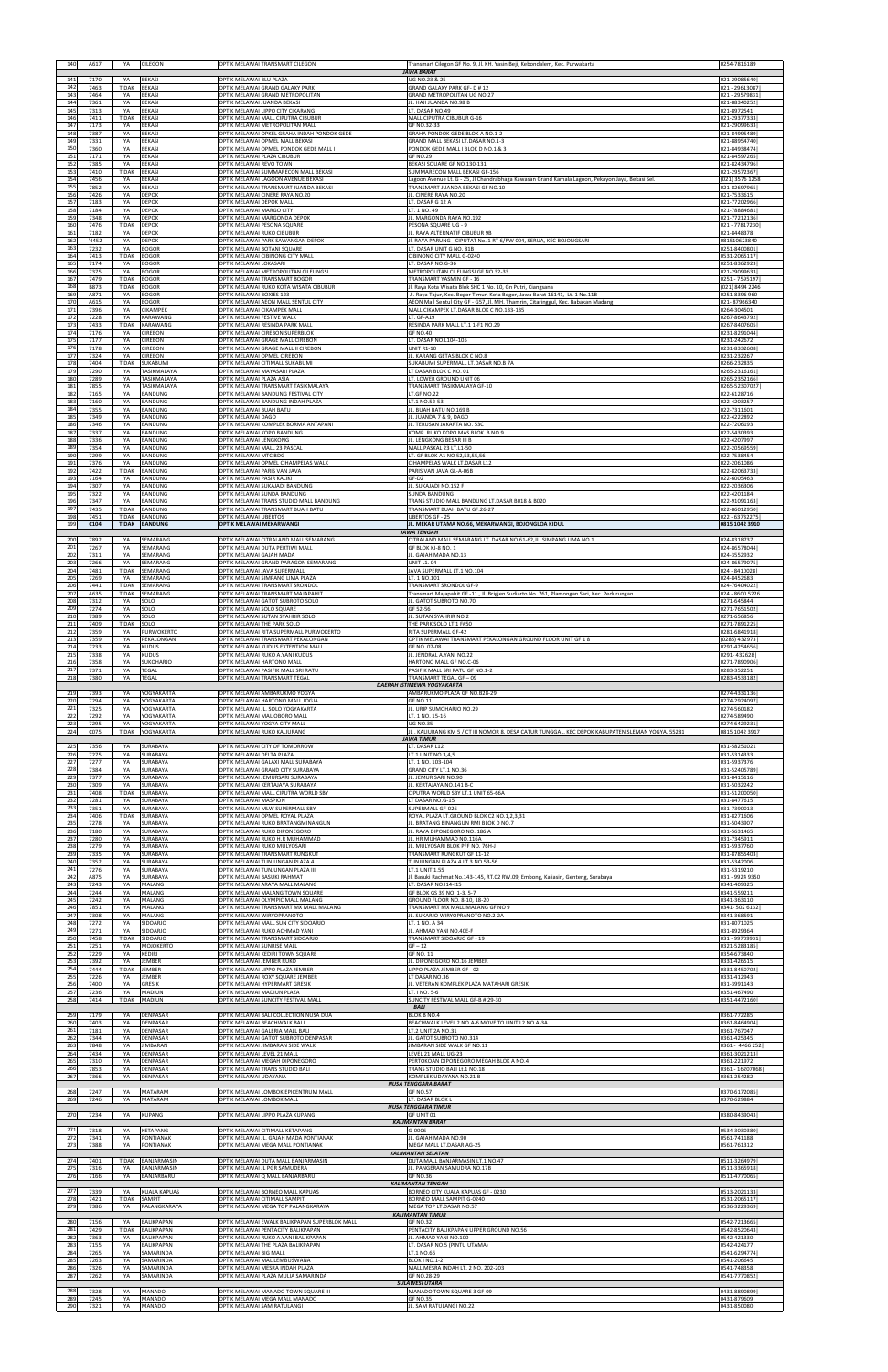| 140               | A617                 | YA                           | <b>CILEGON</b>                              | OPTIK MELAWAI TRANSMART CILEGON                                                                             | Transmart Cilegon GF No. 9, Jl. KH. Yasin Beji, Kebondalem, Kec. Purwakarta<br><b>JAWA BARAT</b>                                 | 0254-7816189                                     |
|-------------------|----------------------|------------------------------|---------------------------------------------|-------------------------------------------------------------------------------------------------------------|----------------------------------------------------------------------------------------------------------------------------------|--------------------------------------------------|
| 141               | 7170                 | YA                           | <b>BEKASI</b>                               | OPTIK MELAWAI BLU PLAZA                                                                                     | UG NO.23 & 25                                                                                                                    | 021-29085640                                     |
| 142               | 7463                 | TIDAK                        | <b>BEKASI</b>                               | OPTIK MELAWAI GRAND GALAXY PARK                                                                             | GRAND GALAXY PARK GF- D # 12                                                                                                     | 021 - 29613087                                   |
| 143               | 7464                 | YA                           | <b>BEKASI</b>                               | OPTIK MELAWAI GRAND METROPOLITAN                                                                            | GRAND METROPOLITAN UG NO.27                                                                                                      | 021 - 29579831                                   |
| 144               | 7361                 | YA                           | <b>BEKASI</b>                               | OPTIK MELAWAI JUANDA BEKASI                                                                                 | IL. HAJI JUANDA NO.98 B                                                                                                          | 021-88340252                                     |
| 145               | 7313                 | YA                           | <b>BEKASI</b>                               | OPTIK MELAWAI LIPPO CITY CIKARANG                                                                           | LT. DASAR NO.49                                                                                                                  | 021-8972541                                      |
| 146               | 7411                 | TIDAK                        | <b>BEKASI</b>                               | OPTIK MELAWAI MALL CIPUTRA CIBUBUR                                                                          | MALL CIPUTRA CIBUBUR G-16                                                                                                        | 021-29377333                                     |
| 147               | 7173                 | YA                           | <b>BEKASI</b>                               | OPTIK MELAWAI METROPOLITAN MALL                                                                             | GF NO.32-33                                                                                                                      | 021-29099633                                     |
| 148               | 7387                 | YA                           | BEKASI                                      | OPTIK MELAWAI OPKEL GRAHA INDAH PONDOK GEDE                                                                 | GRAHA PONDOK GEDE BLOK A NO.1-2                                                                                                  | 021-84995489                                     |
| 149               | 7331                 | YA                           | BEKASI                                      | OPTIK MELAWAI OPMEL MALL BEKASI                                                                             | GRAND MALL BEKASI LT.DASAR NO.1-3                                                                                                | 021-88954740                                     |
| 150               | 7360                 | YA                           | <b>BEKASI</b>                               | OPTIK MELAWAI OPMEL PONDOK GEDE MALL I                                                                      | PONDOK GEDE MALL I BLOK D NO.1 & 3                                                                                               | 021-84938474                                     |
| 151               | 7171                 | YA                           | <b>BEKASI</b>                               | OPTIK MELAWAI PLAZA CIBUBUR                                                                                 | <b>GF NO.29</b>                                                                                                                  | 021-84597265                                     |
| 152               | 7385                 | YA                           | <b>BEKASI</b>                               | OPTIK MELAWAI REVO TOWN                                                                                     | BEKASI SQUARE GF NO.130-131                                                                                                      | 021-82434796                                     |
| 153               | 7410                 | TIDAK                        | <b>BEKASI</b>                               | OPTIK MELAWAI SUMMARECON MALL BEKASI                                                                        | SUMMARECON MALL BEKASI GF-156                                                                                                    | 021-29572367                                     |
| 154               | 7456                 | YA                           | BEKASI                                      | OPTIK MELAWAI LAGOON AVENUE BEKASI                                                                          | Lagoon Avenue Lt. G - 25, Jl Chandrabhaga Kawasan Grand Kamala Lagoon, Pekayon Jaya, Bekasi Sel                                  | 021) 3576 1258                                   |
| 155               | 7852                 | YA                           | <b>BEKASI</b>                               | OPTIK MELAWAI TRANSMART JUANDA BEKASI                                                                       | TRANSMART JUANDA BEKASI GF NO.10                                                                                                 | 021-82697965                                     |
| 156               | 7426                 | YA                           | DEPOK                                       | OPTIK MELAWAI CINERE RAYA NO.20                                                                             | IL. CINERE RAYA NO.20                                                                                                            | 021-7533615                                      |
| 157               | 7183                 | YA                           | DEPOK                                       | OPTIK MELAWAI DEPOK MALL                                                                                    | LT. DASAR G 12 A                                                                                                                 | 021-77202966                                     |
| 158               | 7184                 | YA                           | <b>DEPOK</b>                                | OPTIK MELAWAI MARGO CITY                                                                                    | LT. 1 NO. 49                                                                                                                     | 021-78884681                                     |
| 159               | 7348                 | YA                           | DEPOK                                       | OPTIK MELAWAI MARGONDA DEPOK                                                                                | IL. MARGONDA RAYA NO.192                                                                                                         | 021-77212136                                     |
| 160               | 7476                 | TIDAK                        | DEPOK                                       | OPTIK MELAWAI PESONA SQUARE                                                                                 | PESONA SQUARE UG - 9                                                                                                             | 021 - 77817230                                   |
| 161               | 7182                 | YA                           | <b>EPOK</b>                                 | OPTIK MELAWAI RUKO CIBUBUR                                                                                  | L. RAYA ALTERNATIF CIBUBUR 9B                                                                                                    | 021-8448378                                      |
| 162               | '4452                | YA                           | DEPOK                                       | OPTIK MELAWAI PARK SAWANGAN DEPOK                                                                           | Jl. RAYA PARUNG - CIPUTAT No. 1 RT 6/RW 004, SERUA, KEC BOJONGSARI                                                               | 081510623840                                     |
| 163               | 7232                 | YA                           | <b>BOGOR</b>                                | OPTIK MELAWAI BOTANI SQUARE                                                                                 | LT. DASAR UNIT G NO. 81B                                                                                                         | 0251-8400801                                     |
| 164               | 7413                 | TIDAK                        | <b>BOGOR</b>                                | OPTIK MELAWAI CIBINONG CITY MALL                                                                            | CIBINONG CITY MALL G-0240                                                                                                        | 0531-2065117                                     |
| 165               | 7174                 | YA                           | 3OGOR                                       | OPTIK MELAWAI LOKASARI                                                                                      | LT. DASAR NO.G-36                                                                                                                | 0251-8362923                                     |
| 166               | 7375                 | YA                           | <b>BOGOR</b>                                | OPTIK MELAWAI METROPOLITAN CILEUNGSI                                                                        | METROPOLITAN CILEUNGSI GF NO.32-33                                                                                               | 021-29099633                                     |
| 167               | 7479                 | TIDAK                        | <b>BOGOR</b>                                | OPTIK MELAWAI TRANSMART BOGOR                                                                               | TRANSMART YASMIN GF - 16                                                                                                         | 0251 - 7595197                                   |
| 168               | B873                 | TIDAK                        | <b>BOGOR</b>                                | OPTIK MELAWAI RUKO KOTA WISATA CIBUBUR                                                                      | II. Raya Kota Wisata Blok SHC 1 No. 10, Gn Putri, Ciangsana                                                                      | 021) 8494 2246                                   |
| 169               | A871                 | YA                           | <b>BOGOR</b>                                | OPTIK MELAWAI BOXIES 123                                                                                    | Jl. Raya Tajur, Kec. Bogor Timur, Kota Bogor, Jawa Barat 16141, Lt. 1 No.11B                                                     | 0251-8396 960                                    |
| 170               | A615                 | YA                           | <b>BOGOR</b>                                | OPTIK MELAWAI AEON MALL SENTUL CITY                                                                         | AEON Mall Sentul City GF - G57, Jl. MH. Thamrin, Citaringgul, Kec. Babakan Madang                                                | 021-87966340                                     |
| 171<br>172<br>173 | 7396<br>7228<br>7433 | YA<br>YA<br>TIDAK            | CIKAMPEK<br>KARAWANG<br>KARAWANG            | OPTIK MELAWAI CIKAMPEK MALL<br>OPTIK MELAWAI FESTIVE WALK                                                   | MALL CIKAMPEK LT.DASAR BLOK C NO.133-135<br>LT. GF-A19                                                                           | 0264-304501<br>0267-8643792<br>0267-8407605      |
| 174<br>175        | 7176<br>7177         | YA<br>YA                     | <b>CIREBON</b><br><b>CIREBON</b>            | OPTIK MELAWAI RESINDA PARK MALL<br>OPTIK MELAWAI CIREBON SUPERBLOK<br>OPTIK MELAWAI GRAGE MALL CIREBON      | RESINDA PARK MALL LT.1 1-F1 NO.29<br><b>GF NO.40</b><br>LT. DASAR NO.L104-105                                                    | 0231-8291044<br>0231-242672                      |
| 176               | 7178                 | YA                           | CIREBON                                     | OPTIK MELAWAI GRAGE MALL II CIREBON                                                                         | <b>UNIT R1-10</b>                                                                                                                | 0231-8332608                                     |
| 177               | 7324                 | YA                           | CIREBON                                     | OPTIK MELAWAI OPMEL CIREBON                                                                                 | IL. KARANG GETAS BLOK C NO.8                                                                                                     | 0231-232267                                      |
| 178               | 7404                 | TIDAK                        | SUKABUMI                                    | OPTIK MELAWAI CITIMALL SUKABUMI                                                                             | SUKABUMI SUPERMALL LT.DASAR NO.B 7A                                                                                              | 0266-232835                                      |
| 179               | 7290                 | YA                           | TASIKMALAYA                                 | OPTIK MELAWAI MAYASARI PLAZA                                                                                | LT DASAR BLOK C NO. 01                                                                                                           | 0265-2316161                                     |
| 180               | 7289                 | YA                           | TASIKMALAYA                                 | OPTIK MELAWAI PLAZA ASIA                                                                                    | LT. LOWER GROUND UNIT 06                                                                                                         | 0265-2352166                                     |
| 181               | 7855                 | YA                           | TASIKMALAYA                                 | OPTIK MELAWAI TRANSMART TASIKMALAYA                                                                         | TRANSMART TASIKMALAYA GF-10                                                                                                      | 0265-52307027                                    |
| 182               | 7165                 | YA                           | BANDUNG                                     | OPTIK MELAWAI BANDUNG FESTIVAL CITY                                                                         | LT.GF NO.22                                                                                                                      | 022-6128716                                      |
| 183               | 7160                 | YA                           | BANDUNG                                     | OPTIK MELAWAI BANDUNG INDAH PLAZA                                                                           | LT.1 NO.52-53                                                                                                                    | 022-4203257                                      |
| 184               | 7355                 | YA                           | BANDUNG                                     | OPTIK MELAWAI BUAH BATU                                                                                     | IL. BUAH BATU NO.169 B                                                                                                           | 022-7311601                                      |
| 185               | 7349                 | YA                           | <b>BANDUNG</b>                              | OPTIK MELAWAI DAGO                                                                                          | JL. JUANDA 7 & 9, DAGO                                                                                                           | 022-4222892                                      |
| 186               | 7346                 | YA                           | BANDUNG                                     | OPTIK MELAWAI KOMPLEK BORMA ANTAPANI                                                                        | L. TERUSAN JAKARTA NO. 53C                                                                                                       | 022-7206193                                      |
| 187               | 7337                 | YA                           | BANDUNG                                     | OPTIK MELAWAI KOPO BANDUNG                                                                                  | KOMP. RUKO KOPO MAS BLOK B NO.9                                                                                                  | 022-5430393                                      |
| 188               | 7336                 | YA                           | BANDUNG                                     | OPTIK MELAWAI LENGKONG                                                                                      | IL. LENGKONG BESAR III B                                                                                                         | 022-4207997                                      |
| 189               | 7354                 | YA                           | BANDUNG                                     | OPTIK MELAWAI MALL 23 PASCAL                                                                                | MALL PASKAL 23 LT.L1-50                                                                                                          | 022-20569559                                     |
| 190               | 7299                 | YA                           | BANDUNG                                     | OPTIK MELAWAI MTC BDG                                                                                       | LT. GF BLOK A1 NO 52,53,55,56                                                                                                    | 022-7538454                                      |
| 191               | 7376                 | YA                           | BANDUNG                                     | OPTIK MELAWAI OPMEL CIHAMPELAS WALK                                                                         | CIHAMPELAS WALK LT.DASAR L12                                                                                                     | 022-2061086                                      |
| 192               | 7422                 | TIDAK                        | <b>BANDUNG</b>                              | OPTIK MELAWAI PARIS VAN JAVA                                                                                | PARIS VAN JAVA GL-A-06B                                                                                                          | 022-82063733                                     |
| 193               | 7164                 | YA                           | BANDUNG                                     | OPTIK MELAWAI PASIR KALIKI                                                                                  | GF-D2                                                                                                                            | 022-6005463                                      |
| 194               | 7307                 | YA                           | <b>BANDUNG</b>                              | OPTIK MELAWAI SUKAJADI BANDUNG                                                                              | IL. SUKAJADI NO.152 F                                                                                                            | 022-2036306                                      |
| 195<br>196<br>197 | 7322<br>7347         | YA<br>YA<br><b>TIDAK</b>     | BANDUNG<br>BANDUNG                          | OPTIK MELAWAI SUNDA BANDUNG<br>OPTIK MELAWAI TRANS STUDIO MALL BANDUNG<br>OPTIK MELAWAI TRANSMART BUAH BATU | SUNDA BANDUNG<br>TRANS STUDIO MALL BANDUNG LT.DASAR B018 & B020                                                                  | 022-4201184<br>022-91091163                      |
| 198<br>199        | 7435<br>7451<br>C104 | <b>TIDAK</b><br><b>TIDAK</b> | BANDUNG<br><b>BANDUNG</b><br><b>BANDUNG</b> | OPTIK MELAWAI UBERTOS<br>OPTIK MELAWAI MEKARWANGI                                                           | TRANSMART BUAH BATU GF.26-27<br>UBERTOS GF - 25<br>JL. MEKAR UTAMA NO.66, MEKARWANGI, BOJONGLOA KIDUL                            | 022-86012950<br>022 - 63732275<br>0815 1042 3910 |
| 200               | 7892                 | YA                           | SEMARANG                                    | OPTIK MELAWAI CITRALAND MALL SEMARANG                                                                       | <b>JAWA TENGAH</b><br>CITRALAND MALL SEMARANG LT. DASAR NO.61-62,JL. SIMPANG LIMA NO.1                                           | 024-8318737                                      |
| 201               | 7267                 | YA                           | SEMARANG                                    | OPTIK MELAWAI DUTA PERTIWI MALL                                                                             | GF BLOK KJ-8 NO. 1                                                                                                               | 024-86578044                                     |
| 202               | 7311                 | YA                           | SEMARANG                                    | OPTIK MELAWAI GAJAH MADA                                                                                    | JL. GAJAH MADA NO.13                                                                                                             | 024-3552932                                      |
| 203               | 7266                 | YA                           | SEMARANG                                    | OPTIK MELAWAI GRAND PARAGON SEMARANG                                                                        | <b>UNIT L1.04</b>                                                                                                                | 024-86579075                                     |
| 204               | 7481                 | <b>TIDAK</b>                 | SEMARANG                                    | OPTIK MELAWAI JAVA SUPERMALL                                                                                | JAVA SUPERMALL LT.1 NO.104                                                                                                       | 024 - 8410028                                    |
| 205<br>206        | 7269<br>7441<br>A635 | YA<br>TIDAK                  | SEMARANG<br>SEMARANG                        | OPTIK MELAWAI SIMPANG LIMA PLAZA<br>OPTIK MELAWAI TRANSMART SRONDOL<br>OPTIK MELAWAI TRANSMART MAJAPAHIT    | LT. 1 NO.101<br>TRANSMART SRONDOL GF-9                                                                                           | 024-8452683<br>024-76404022                      |
| 207<br>208<br>209 | 7312<br>7274         | <b>TIDAK</b><br>YA<br>YA     | SEMARANG<br>SOLO<br>SOLO                    | OPTIK MELAWAI GATOT SUBROTO SOLO<br>OPTIK MELAWAI SOLO SQUARE                                               | Transmart Majapahit GF -11, Jl. Brigjen Sudiarto No. 761, Plamongan Sari, Kec. Pedurungan<br>IL. GATOT SUBROTO NO.70<br>GF 52-56 | 024 - 8600 5226<br>0271-645844<br>0271-7651502   |
| 210               | 7389                 | YA                           | SOLO                                        | OPTIK MELAWAI SUTAN SYAHRIR SOLO                                                                            | IL. SUTAN SYAHRIR NO.2                                                                                                           | 0271-656856                                      |
| 211               | 7409                 | TIDAK                        | SOLO                                        | OPTIK MELAWAI THE PARK SOLO                                                                                 | THE PARK SOLO LT.1 F#50                                                                                                          | 0271-7891225                                     |
| 212               | 7359                 | YA                           | PURWOKERTO                                  | OPTIK MELAWAI RITA SUPERMALL PURWOKERTO                                                                     | RITA SUPERMALL GF-42                                                                                                             | 0281-6841918                                     |
| 213               | 7359                 | YA                           | PEKALONGAN                                  | OPTIK MELAWAI TRANSMART PEKALONGAN                                                                          | OPTIK MELAWAI TRANSMART PEKALONGAN GROUND FLOOR UNIT GF 18                                                                       | 0285) 432973                                     |
| 214               | 7233                 | YA                           | KUDUS                                       | OPTIK MELAWAI KUDUS EXTENTION MALL                                                                          | GF NO. 07-08                                                                                                                     | 0291-4254656                                     |
| 215               | 7338                 | YA                           | KUDUS                                       | OPTIK MELAWAI RUKO A.YANI KUDUS                                                                             | IL. JENDRAL A.YANI NO.22                                                                                                         | 0291-432628                                      |
| 216               | 7358                 | YA                           | SUKOHARJO                                   | OPTIK MELAWAI HARTONO MALL                                                                                  | HARTONO MALL GF NO.C-06                                                                                                          | 0271-7890906                                     |
| 217               | 7371                 | YA                           | <b>TEGAL</b>                                | OPTIK MELAWAI PASIFIK MALL SRI RATU                                                                         | PASIFIK MALL SRI RATU GF NO.1-2                                                                                                  | 0283-352251                                      |
| 218<br>219        | 7380<br>7393         | YA<br>YA                     | <b>TEGAL</b><br>YOGYAKARTA                  | OPTIK MELAWAI TRANSMART TEGAL<br>OPTIK MELAWAI AMBARUKMO YOGYA                                              | TRANSMART TEGAL GF-09<br><b>DAERAH ISTIMEWA YOGYAKARTA</b><br>AMBARUKMO PLAZA GF NO.B28-29                                       | 0283-4533182<br>0274-4331136                     |
| 220               | 7294                 | YA                           | YOGYAKARTA                                  | OPTIK MELAWAI HARTONO MALL JOGJA                                                                            | <b>GF NO.11</b>                                                                                                                  | 0274-2924097                                     |
| 221               | 7325                 | YA                           | YOGYAKARTA                                  | OPTIK MELAWAI JL. SOLO YOGYAKARTA                                                                           | IL. URIP SUMOHARJO NO.29                                                                                                         | 0274-560182                                      |
| 222               | 7292                 | YA                           | YOGYAKARTA                                  | OPTIK MELAWAI MALIOBORO MALL                                                                                | LT. 1 NO. 15-16                                                                                                                  | 0274-589490                                      |
| 223               | 7295                 | YA                           | YOGYAKARTA                                  | OPTIK MELAWAI YOGYA CITY MALL                                                                               | <b>UG NO.35</b>                                                                                                                  | 0274-6429231                                     |
| 224               | C075                 | <b>TIDAK</b>                 | YOGYAKARTA                                  | OPTIK MELAWAI RUKO KALIURANG                                                                                | JL . KALIURANG KM 5 / CT III NOMOR 8, DESA CATUR TUNGGAL, KEC DEPOK KABUPATEN SLEMAN YOGYA, 55281<br><b>JAWA TIMUR</b>           | 0815 1042 3917                                   |
| 225               | 7356                 | YA                           | SURABAYA                                    | OPTIK MELAWAI CITY OF TOMORROW                                                                              | LT. DASAR L12                                                                                                                    | 031-58251021                                     |
| 226               | 7275                 | YA                           | <b>SURABAYA</b>                             | OPTIK MELAWAI DELTA PLAZA                                                                                   | LT.1 UNIT NO.3,4,5                                                                                                               | 031-5314333                                      |
| 227               | 7277                 | YA                           | <b>SURABAYA</b>                             | OPTIK MELAWAI GALAXI MALL SURABAYA                                                                          | LT. 1 NO. 103-104                                                                                                                | 031-5937376                                      |
| 228               | 7384                 | YA                           | <b>SURABAYA</b>                             | OPTIK MELAWAI GRAND CITY SURABAYA                                                                           | GRAND CITY LT.1 NO.36                                                                                                            | 031-52405789                                     |
| 229               | 7377                 | YA                           | SURABAYA                                    | OPTIK MELAWAI JEMURSARI SURABAYA                                                                            | IL. JEMUR SARI NO.90                                                                                                             | 031-8415116                                      |
| 230               | 7309                 | YA                           | SURABAYA                                    | OPTIK MELAWAI KERTAJAYA SURABAYA                                                                            | JL. KERTAJAYA NO.141 B-C                                                                                                         | 031-5032242                                      |
| 231               | 7408                 | <b>TIDAK</b>                 | SURABAYA                                    | OPTIK MELAWAI MALL CIPUTRA WORLD SBY                                                                        | CIPUTRA WORLD SBY LT.1 UNIT 65-66A                                                                                               | 031-51200050                                     |
| 232               | 7281                 | YA                           | SURABAYA                                    | OPTIK MELAWAI MASPION                                                                                       | LT DASAR NO.G-15                                                                                                                 | 031-8477615                                      |
| 233               | 7351                 | YA                           | SURABAYA                                    | OPTIK MELAWAI MLW SUPERMALL SBY                                                                             | SUPERMALL GF-026                                                                                                                 | 031-7390013                                      |
| 234               | 7406                 | <b>TIDAK</b>                 | SURABAYA                                    | OPTIK MELAWAI OPMEL ROYAL PLAZA                                                                             | ROYAL PLAZA LT.GROUND BLOK C2 NO.1,2,3,31                                                                                        | 031-8271606                                      |
| 235               | 7278                 | YA                           | <b>SURABAYA</b>                             | OPTIK MELAWAI RUKO BRATANGMINANGUN                                                                          | IL. BRATANG BINANGUN RMI BLOK D NO.7                                                                                             | 031-5043907                                      |
| 236               | 7180                 | YA                           | SURABAYA                                    | OPTIK MELAWAI RUKO DIPONEGORO                                                                               | L. RAYA DIPONEGORO NO. 186 A                                                                                                     | 031-5631465                                      |
| 237               | 7280                 | YA                           | SURABAYA                                    | OPTIK MELAWAI RUKO H.R MUHAMMAD                                                                             | L. HR MUHAMMAD NO.116A                                                                                                           | 031-7345911                                      |
| 238               | 7279                 | YA                           | <b>SURABAYA</b>                             | OPTIK MELAWAI RUKO MULYOSARI                                                                                | IL. MULYOSARI BLOK PFF NO. 76H-J                                                                                                 | 031-5937760                                      |
| 239               | 7335                 | YA                           | SURABAYA                                    | OPTIK MELAWAI TRANSMART RUNGKUT                                                                             | TRANSMART RUNGKUT GF 11-12                                                                                                       | 031-87855403                                     |
| 240               | 7352                 | YA                           | SURABAYA                                    | OPTIK MELAWAI TUNJUNGAN PLAZA 4                                                                             | TUNJUNGAN PLAZA 4 LT.3 NO.53-56                                                                                                  | 031-5342006                                      |
| 241               | 7276                 | YA                           | <b>SURABAYA</b>                             | OPTIK MELAWAI TUNJUNGAN PLAZA III                                                                           | LT.1 UNIT 1.55                                                                                                                   | 031-5319210                                      |
| 242               | A875                 | YA                           | SURABAYA                                    | OPTIK MELAWAI BASUKI RAHMAT                                                                                 | I. Basuki Rachmat No.143-145, RT.02 RW.09, Embong, Kaliasin, Genteng, Surabaya                                                   | 031 - 9924 9350                                  |
| 243               | 7243                 | YA                           | MALANG                                      | OPTIK MELAWAI ARAYA MALL MALANG                                                                             | LT. DASAR NO.I14-I15                                                                                                             | 0341-409325                                      |
| 244               | 7244                 | YA                           | MALANG                                      | OPTIK MELAWAI MALANG TOWN SQUARE                                                                            | GF BLOK GS 39 NO. 1-3, 5-7                                                                                                       | 0341-559211                                      |
| 245               | 7242                 | YA                           | MALANG                                      | OPTIK MELAWAI OLYMPIC MALL MALANG                                                                           | GROUND FLOOR NO. 8-10, 18-20                                                                                                     | 0341-363110                                      |
| 246               | 7851                 | YA                           | MALANG                                      | OPTIK MELAWAI TRANSMART MX MALL MALANG                                                                      | TRANSMART MX MALL MALANG GF NO 9                                                                                                 | 0341-502 6132                                    |
| 247               | 7308                 | YA                           | MALANG                                      | OPTIK MELAWAI WIRYOPRANOTO                                                                                  | IL. SUKARJO WIRYOPRANOTO NO.2-2A                                                                                                 | 0341-368591                                      |
| 248               | 7272                 | YA                           | SIDOARJO                                    | OPTIK MELAWAI MALL SUN CITY SIDOARJO                                                                        | LT. 1 NO. A 34                                                                                                                   | 031-8071025                                      |
| 249               | 7271                 | YA                           | SIDOARJO                                    | OPTIK MELAWAI RUKO ACHMAD YANI                                                                              | IL. AHMAD YANI NO.40E-F                                                                                                          | 031-8929364                                      |
| 250               | 7458                 | TIDAK                        | SIDOARJO                                    | OPTIK MELAWAI TRANSMART SIDOARJO                                                                            | TRANSMART SIDOARJO GF - 19                                                                                                       | 031 - 99709931                                   |
| 251               | 7251                 | YA                           | MOJOKERTO                                   | OPTIK MELAWAI SUNRISE MALL                                                                                  | $GF - 12$                                                                                                                        | 0321-5283185                                     |
| 252               | 7229                 | YA                           | <b>KEDIRI</b>                               | OPTIK MELAWAI KEDIRI TOWN SQUARE                                                                            | GF NO. 11                                                                                                                        | 0354-673840                                      |
| 253               | 7392                 | YA                           | <b>EMBER</b>                                | OPTIK MELAWAI JEMBER RUKO                                                                                   | IL. DIPONEGORO NO.16 JEMBER                                                                                                      | 0331-426515                                      |
| 254               | 7444                 | TIDAK                        | <b>EMBER</b>                                | OPTIK MELAWAI LIPPO PLAZA JEMBER                                                                            | LIPPO PLAZA JEMBER GF - 02                                                                                                       | 0331-8450702                                     |
| 255               | 7226                 | YA                           | <b>EMBER</b>                                | OPTIK MELAWAI ROXY SQUARE JEMBER                                                                            | LT DASAR NO.36                                                                                                                   | 0331-412943                                      |
| 256               | 7400                 | YA                           | <b>GRESIK</b>                               | OPTIK MELAWAI HYPERMART GRESIK                                                                              | IL. VETERAN KOMPLEK PLAZA MATAHARI GRESIK                                                                                        | 031-3991143                                      |
| 257               | 7236                 | YA                           | MADIUN                                      | OPTIK MELAWAI MADIUN PLAZA                                                                                  | LT. I NO. 5-6                                                                                                                    | 0351-467490                                      |
| 258<br>259        | 7414<br>7179         | <b>TIDAK</b><br>YA           | <b>MADIUN</b><br>DENPASAR                   | OPTIK MELAWAI SUNCITY FESTIVAL MALL<br>OPTIK MELAWAI BALI COLLECTION NUSA DUA                               | SUNCITY FESTIVAL MALL GF-B # 29-30<br><b>BALI</b><br><b>BLOK B NO.4</b>                                                          | 0351-4472160<br>0361-772285                      |
| 260               | 7403                 | YA                           | DENPASAR                                    | OPTIK MELAWAI BEACHWALK BALI                                                                                | BEACHWALK LEVEL 2 NO.A-6 MOVE TO UNIT L2 NO.A-3A                                                                                 | 0361-8464904                                     |
| 261               | 7181                 | YA                           | DENPASAR                                    | OPTIK MELAWAI GALERIA MALL BALI                                                                             | LT.2 UNIT 2A NO.31                                                                                                               | 0361-767047                                      |
| 262               | 7344                 | YA                           | DENPASAR                                    | OPTIK MELAWAI GATOT SUBROTO DENPASAR                                                                        | L. GATOT SUBROTO NO.314                                                                                                          | 0361-425345                                      |
| 263               | 7848                 | YA                           | <b>JIMBARAN</b>                             | OPTIK MELAWAI JIMBARAN SIDE WALK                                                                            | <b>IIMBARAN SIDE WALK GF NO.11</b>                                                                                               | 0361 - 4466 252                                  |
| 264               | 7434                 | YA                           | DENPASAR                                    | OPTIK MELAWAI LEVEL 21 MALL                                                                                 | LEVEL 21 MALL UG-23                                                                                                              | 0361-3021213                                     |
| 265               | 7310                 | YA                           | <b>DENPASAR</b>                             | OPTIK MELAWAI MEGAH DIPONEGORO                                                                              | PERTOKOAN DIPONEGORO MEGAH BLOK A NO.4                                                                                           | 0361-221972                                      |
| 266               | 7853                 | YA                           | DENPASAR                                    | OPTIK MELAWAI TRANS STUDIO BALI                                                                             | TRANS STUDIO BALI Lt.1 NO.18                                                                                                     | 0361 - 16207068                                  |
| 267               | 7366                 | YA                           | DENPASAR                                    | OPTIK MELAWAI UDAYANA                                                                                       | KOMPLEK UDAYANA NO.21 B                                                                                                          | 0361-254282                                      |
| 268<br>269        | 7247                 | YA<br>YA                     | <b>MATARAM</b><br><b>MATARAM</b>            | OPTIK MELAWAI LOMBOK EPICENTRUM MALL<br>OPTIK MELAWAI LOMBOK MALL                                           | <b>NUSA TENGGARA BARAT</b><br><b>GF NO.57</b><br>LT. DASAR BLOK L                                                                | 0370-6172085                                     |
| 270               | 7246<br>7234         | YA                           | <b>KUPANG</b>                               | OPTIK MELAWAI LIPPO PLAZA KUPANG                                                                            | <b>NUSA TENGGARA TIMUR</b><br>GF UNIT 01                                                                                         | 0370-629884<br>0380-8439043                      |
| 271               | 7318                 | YA                           | <b>KETAPANG</b>                             | OPTIK MELAWAI CITIMALL KETAPANG                                                                             | <b>KALIMANTAN BARAT</b><br>G-0006                                                                                                | 0534-3030380                                     |
| 272               | 7341                 | YA                           | PONTIANAK                                   | OPTIK MELAWAI JL. GAJAH MADA PONTIANAK                                                                      | GAJAH MADA NO.90                                                                                                                 | 0561-741188                                      |
| 273               | 7388                 | YA                           | PONTIANAK                                   | OPTIK MELAWAI MEGA MALL PONTIANAK                                                                           | MEGA MALL LT.DASAR AG-25                                                                                                         | 0561-761312                                      |
| 274               | 7401                 | <b>TiDAK</b>                 | BANJARMASIN                                 | OPTIK MELAWAI DUTA MALL BANJARMASIN                                                                         | <b>KALIMANTAN SELATAN</b><br>DUTA MALL BANJARMASIN LT.1 NO.47                                                                    | 0511-3264979                                     |
| 275               | 7316                 | YA                           | BANJARMASIN                                 | OPTIK MELAWAI JL PGR SAMUDERA                                                                               | JL. PANGERAN SAMUDRA NO.17B                                                                                                      | 0511-3365918                                     |
| 276               | 7166                 | YA                           | BANJARBARU                                  | OPTIK MELAWAI Q MALL BANJARBARU                                                                             | <b>GF NO.36</b>                                                                                                                  | 0511-4770065                                     |
| 277<br>278        | 7339<br>7421         | YA<br><b>TIDAK</b>           | <b>KUALA KAPUAS</b><br>SAMPIT               | OPTIK MELAWAI BORNEO MALL KAPUAS<br>OPTIK MELAWAI CITIMALL SAMPIT                                           | <b>KALIMANTAN TENGAH</b><br>BORNEO CITY KUALA KAPUAS GF - 0230<br>BORNEO MALL SAMPIT G-0240                                      | 0513-2021133<br>0531-2065117                     |
| 279               | 7386                 | YA                           | PALANGKARAYA                                | OPTIK MELAWAI MEGA TOP PALANGKARAYA                                                                         | MEGA TOP LT.DASAR NO.57<br><b>KALIMANTAN TIMUR</b>                                                                               | 0536-3229369                                     |
| 280               | 7156                 | YA                           | BALIKPAPAN                                  | OPTIK MELAWAI EWALK BALIKPAPAN SUPERBLOK MALL                                                               | <b>GF NO.32</b>                                                                                                                  | 0542-7213665                                     |
| 281               | 7429                 | <b>TIDAK</b>                 | <b>BALIKPAPAN</b>                           | OPTIK MELAWAI PENTACITY BALIKPAPAN                                                                          | PENTACITY BALIKPAPAN UPPER GROUND NO.56                                                                                          | 0542-8520643                                     |
| 282               | 7363                 | YA                           | BALIKPAPAN                                  | OPTIK MELAWAI RUKO A.YANI BALIKPAPAN                                                                        | JL. AHMAD YANI NO.100                                                                                                            | 0542-421330                                      |
| 28                | 7155                 | YA                           | <b>BALIKPAPAN</b>                           | OPTIK MELAWAI THE PLAZA BALIKPAPAN                                                                          | LT. DASAR NO.5 (PINTU UTAMA)                                                                                                     | 0542-424177                                      |
| 284               | 7265                 | YA                           | SAMARINDA                                   | OPTIK MELAWAI BIG MALL                                                                                      | LT.1 NO.66                                                                                                                       | 0541-6294774                                     |
| 285               | 7263                 | YA                           | SAMARINDA                                   | OPTIK MELAWAI MAL LEMBUSWANA                                                                                | <b>BLOK   NO.1-2</b>                                                                                                             | 0541-206645                                      |
| 286<br>287        | 7326<br>7262         | YA<br>YA                     | SAMARINDA<br>SAMARINDA                      | OPTIK MELAWAI MESRA INDAH PLAZA<br>OPTIK MELAWAI PLAZA MULIA SAMARINDA                                      | MALL MESRA INDAH LT. 2 NO. 202-203<br>GF NO.28-29<br><b>SULAWESI UTARA</b>                                                       | 0541-748358<br>0541-7770852                      |
|                   | 7328                 | YA                           | <b>MANADO</b><br><b>MANADO</b>              | OPTIK MELAWAI MANADO TOWN SQUARE III<br>OPTIK MELAWAI MEGA MALL MANADO                                      | MANADO TOWN SQUARE 3 GF-09<br><b>GF NO.35</b>                                                                                    | 0431-8890899<br>0431-879609                      |
| 288<br>289        | 7245                 | YA                           |                                             |                                                                                                             |                                                                                                                                  |                                                  |